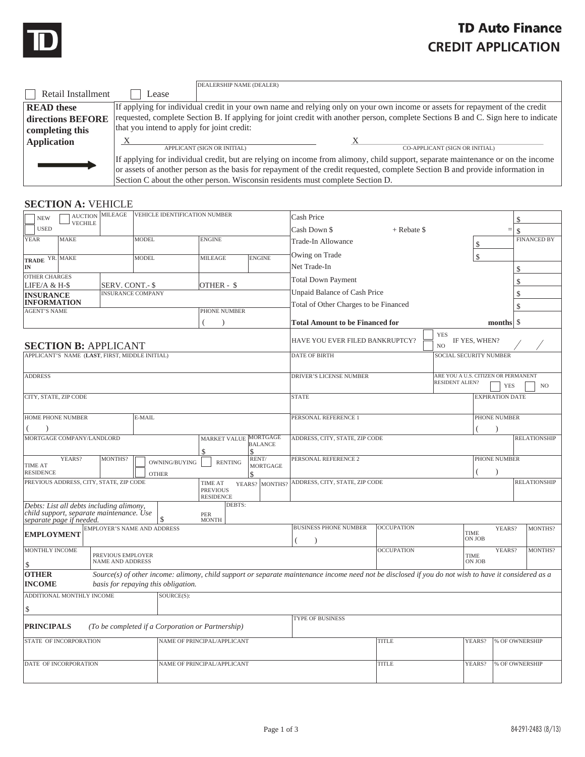

## **TD Auto Finance CREDIT APPLICATION**

|                    |                                                                                                                                   | DEALERSHIP NAME (DEALER)    |                                                                                                                                 |  |  |  |  |
|--------------------|-----------------------------------------------------------------------------------------------------------------------------------|-----------------------------|---------------------------------------------------------------------------------------------------------------------------------|--|--|--|--|
| Retail Installment | ease                                                                                                                              |                             |                                                                                                                                 |  |  |  |  |
| <b>READ</b> these  | If applying for individual credit in your own name and relying only on your own income or assets for repayment of the credit      |                             |                                                                                                                                 |  |  |  |  |
| directions BEFORE  | requested, complete Section B. If applying for joint credit with another person, complete Sections B and C. Sign here to indicate |                             |                                                                                                                                 |  |  |  |  |
| completing this    | that you intend to apply for joint credit:                                                                                        |                             |                                                                                                                                 |  |  |  |  |
|                    |                                                                                                                                   |                             |                                                                                                                                 |  |  |  |  |
|                    |                                                                                                                                   |                             |                                                                                                                                 |  |  |  |  |
| Application        |                                                                                                                                   | APPLICANT (SIGN OR INITIAL) | CO-APPLICANT (SIGN OR INITIAL)                                                                                                  |  |  |  |  |
|                    |                                                                                                                                   |                             | If applying for individual credit, but are relying on income from alimony, child support, separate maintenance or on the income |  |  |  |  |
|                    |                                                                                                                                   |                             | or assets of another person as the basis for repayment of the credit requested, complete Section B and provide information in   |  |  |  |  |

## **SECTION A: VEHICLE**

| <b>NEW</b>                                                                                                       | <b>AUCTION</b> MILEAGE                | VEHICLE IDENTIFICATION NUMBER                     |                                                       | Cash Price                     |                                                                                                                                                      |                   |                              |                |                     |                     |
|------------------------------------------------------------------------------------------------------------------|---------------------------------------|---------------------------------------------------|-------------------------------------------------------|--------------------------------|------------------------------------------------------------------------------------------------------------------------------------------------------|-------------------|------------------------------|----------------|---------------------|---------------------|
| <b>VECHILE</b><br><b>USED</b>                                                                                    |                                       |                                                   |                                                       |                                | Cash Down \$<br>$+$ Rebate \$                                                                                                                        |                   |                              |                | \$<br>$=$<br>\$     |                     |
| MAKE<br><b>YEAR</b>                                                                                              |                                       | <b>MODEL</b>                                      | <b>ENGINE</b>                                         |                                | <b>Trade-In Allowance</b>                                                                                                                            |                   |                              | \$             |                     | <b>FINANCED BY</b>  |
|                                                                                                                  |                                       |                                                   |                                                       |                                | Owing on Trade                                                                                                                                       |                   |                              |                |                     |                     |
| TRADE YR. MAKE<br>IN                                                                                             |                                       | <b>MODEL</b>                                      | <b>MILEAGE</b>                                        | <b>ENGINE</b>                  | Net Trade-In                                                                                                                                         |                   |                              | \$             |                     |                     |
| <b>OTHER CHARGES</b>                                                                                             |                                       |                                                   |                                                       |                                |                                                                                                                                                      |                   |                              |                | \$                  |                     |
| LIFE/A & H-\$                                                                                                    | SERV. CONT.- \$                       |                                                   | OTHER - \$                                            |                                | <b>Total Down Payment</b>                                                                                                                            |                   |                              |                | \$                  |                     |
| <b>INSURANCE</b>                                                                                                 | <b>INSURANCE COMPANY</b>              |                                                   |                                                       |                                | Unpaid Balance of Cash Price                                                                                                                         |                   |                              |                | \$                  |                     |
| <b>INFORMATION</b><br><b>AGENT'S NAME</b>                                                                        |                                       |                                                   | PHONE NUMBER                                          |                                | Total of Other Charges to be Financed                                                                                                                |                   |                              |                | \$                  |                     |
|                                                                                                                  |                                       |                                                   |                                                       |                                | <b>Total Amount to be Financed for</b>                                                                                                               |                   |                              |                | \$<br>months        |                     |
|                                                                                                                  |                                       |                                                   |                                                       |                                |                                                                                                                                                      |                   |                              |                |                     |                     |
| <b>SECTION B: APPLICANT</b>                                                                                      |                                       |                                                   |                                                       |                                | HAVE YOU EVER FILED BANKRUPTCY?                                                                                                                      |                   | <b>YES</b><br>N <sub>O</sub> | IF YES, WHEN?  |                     |                     |
| APPLICANT'S NAME (LAST, FIRST, MIDDLE INITIAL)                                                                   |                                       |                                                   |                                                       |                                | <b>DATE OF BIRTH</b><br><b>SOCIAL SECURITY NUMBER</b>                                                                                                |                   |                              |                |                     |                     |
| <b>ADDRESS</b>                                                                                                   |                                       |                                                   |                                                       |                                | ARE YOU A U.S. CITIZEN OR PERMANENT<br>DRIVER'S LICENSE NUMBER<br><b>RESIDENT ALIEN?</b><br><b>YES</b><br>N <sub>O</sub>                             |                   |                              |                |                     |                     |
| CITY, STATE, ZIP CODE                                                                                            |                                       |                                                   | <b>STATE</b><br><b>EXPIRATION DATE</b>                |                                |                                                                                                                                                      |                   |                              |                |                     |                     |
| <b>HOME PHONE NUMBER</b><br>E-MAIL                                                                               |                                       |                                                   | PERSONAL REFERENCE 1<br>PHONE NUMBER                  |                                |                                                                                                                                                      |                   |                              |                |                     |                     |
|                                                                                                                  |                                       |                                                   |                                                       |                                |                                                                                                                                                      |                   |                              |                |                     |                     |
| MORTGAGE COMPANY/LANDLORD                                                                                        |                                       |                                                   | MARKET VALUE MORTGAGE                                 | <b>BALANCE</b>                 | ADDRESS, CITY, STATE, ZIP CODE                                                                                                                       |                   |                              |                |                     | <b>RELATIONSHIP</b> |
|                                                                                                                  |                                       |                                                   | \$                                                    | $\mathcal{S}$                  |                                                                                                                                                      |                   |                              |                |                     |                     |
| YEARS?<br><b>TIME AT</b><br><b>RESIDENCE</b>                                                                     | MONTHS?                               | OWNING/BUYING<br><b>OTHER</b>                     | <b>RENTING</b>                                        | RENT/<br><b>MORTGAGE</b><br>\$ | PERSONAL REFERENCE 2<br>PHONE NUMBER                                                                                                                 |                   |                              |                |                     |                     |
| PREVIOUS ADDRESS, CITY, STATE, ZIP CODE                                                                          |                                       |                                                   | <b>TIME AT</b><br><b>PREVIOUS</b><br><b>RESIDENCE</b> | YEARS? MONTHS?                 | ADDRESS, CITY, STATE, ZIP CODE                                                                                                                       |                   |                              |                | <b>RELATIONSHIP</b> |                     |
| Debts: List all debts including alimony,<br>child support, separate maintenance. Use<br>separate page if needed. |                                       | \$.                                               | DEBTS:<br>PER<br><b>MONTH</b>                         |                                |                                                                                                                                                      |                   |                              |                |                     |                     |
| <b>EMPLOYMENT</b>                                                                                                |                                       | <b>EMPLOYER'S NAME AND ADDRESS</b>                |                                                       |                                | <b>BUSINESS PHONE NUMBER</b>                                                                                                                         | <b>OCCUPATION</b> | <b>TIME</b>                  | ON JOB         | YEARS?              | MONTHS?             |
| <b>MONTHLY INCOME</b>                                                                                            | PREVIOUS EMPLOYER<br>NAME AND ADDRESS |                                                   |                                                       |                                |                                                                                                                                                      | <b>OCCUPATION</b> |                              | TIME<br>ON JOB | YEARS?              | MONTHS?             |
| S.<br><b>OTHER</b>                                                                                               |                                       |                                                   |                                                       |                                | Source(s) of other income: alimony, child support or separate maintenance income need not be disclosed if you do not wish to have it considered as a |                   |                              |                |                     |                     |
| <b>INCOME</b>                                                                                                    |                                       | basis for repaying this obligation.               |                                                       |                                |                                                                                                                                                      |                   |                              |                |                     |                     |
| ADDITIONAL MONTHLY INCOME                                                                                        |                                       | SOURCE(S):                                        |                                                       |                                |                                                                                                                                                      |                   |                              |                |                     |                     |
| \$                                                                                                               |                                       |                                                   |                                                       |                                |                                                                                                                                                      |                   |                              |                |                     |                     |
| <b>PRINCIPALS</b>                                                                                                |                                       | (To be completed if a Corporation or Partnership) |                                                       |                                | <b>TYPE OF BUSINESS</b>                                                                                                                              |                   |                              |                |                     |                     |
| STATE OF INCORPORATION                                                                                           |                                       |                                                   | NAME OF PRINCIPAL/APPLICANT                           |                                |                                                                                                                                                      | <b>TITLE</b>      |                              | YEARS?         | % OF OWNERSHIP      |                     |
| DATE OF INCORPORATION                                                                                            |                                       |                                                   | NAME OF PRINCIPAL/APPLICANT                           |                                |                                                                                                                                                      | <b>TITLE</b>      |                              | YEARS?         | % OF OWNERSHIP      |                     |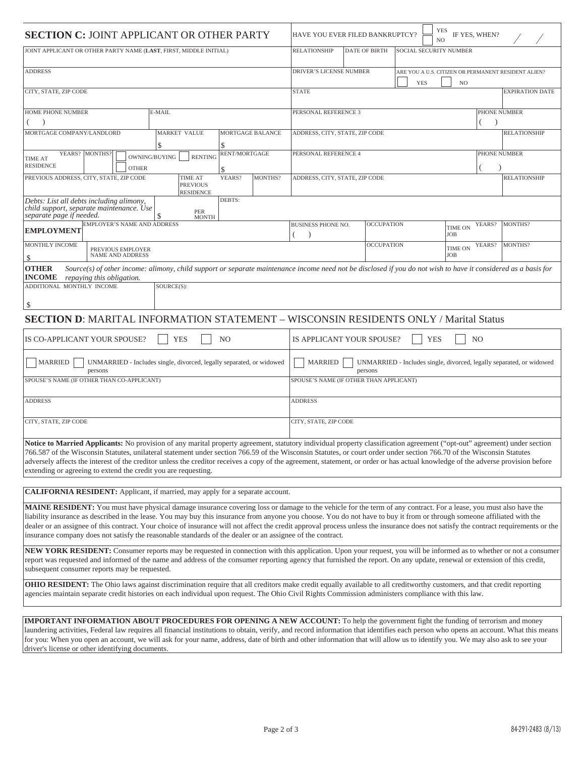| <b>SECTION C: JOINT APPLICANT OR OTHER PARTY</b>                                                                                                                                                                                                                                                                                                                                                                                                                                                                                                                                                                                                |                                                                                                    |                   | YES<br>IF YES, WHEN?<br>HAVE YOU EVER FILED BANKRUPTCY?<br>NO                                                                                |                   |  |                                 |                     |
|-------------------------------------------------------------------------------------------------------------------------------------------------------------------------------------------------------------------------------------------------------------------------------------------------------------------------------------------------------------------------------------------------------------------------------------------------------------------------------------------------------------------------------------------------------------------------------------------------------------------------------------------------|----------------------------------------------------------------------------------------------------|-------------------|----------------------------------------------------------------------------------------------------------------------------------------------|-------------------|--|---------------------------------|---------------------|
| JOINT APPLICANT OR OTHER PARTY NAME (LAST, FIRST, MIDDLE INITIAL)                                                                                                                                                                                                                                                                                                                                                                                                                                                                                                                                                                               | <b>RELATIONSHIP</b><br><b>DATE OF BIRTH</b><br>SOCIAL SECURITY NUMBER                              |                   |                                                                                                                                              |                   |  |                                 |                     |
| <b>ADDRESS</b>                                                                                                                                                                                                                                                                                                                                                                                                                                                                                                                                                                                                                                  | DRIVER'S LICENSE NUMBER<br>ARE YOU A U.S. CITIZEN OR PERMANENT RESIDENT ALIEN?<br><b>YES</b><br>NO |                   |                                                                                                                                              |                   |  |                                 |                     |
| CITY, STATE, ZIP CODE                                                                                                                                                                                                                                                                                                                                                                                                                                                                                                                                                                                                                           | <b>STATE</b><br><b>EXPIRATION DATE</b>                                                             |                   |                                                                                                                                              |                   |  |                                 |                     |
| <b>HOME PHONE NUMBER</b><br>E-MAIL                                                                                                                                                                                                                                                                                                                                                                                                                                                                                                                                                                                                              | PERSONAL REFERENCE 3<br>PHONE NUMBER                                                               |                   |                                                                                                                                              |                   |  |                                 |                     |
| MORTGAGE COMPANY/LANDLORD<br><b>MARKET VALUE</b><br>MORTGAGE BALANCE<br>ADDRESS, CITY, STATE, ZIP CODE<br>\$<br>\$                                                                                                                                                                                                                                                                                                                                                                                                                                                                                                                              |                                                                                                    |                   |                                                                                                                                              |                   |  |                                 | <b>RELATIONSHIP</b> |
| YEARS? MONTHS?<br><b>TIME AT</b><br><b>RESIDENCE</b><br><b>OTHER</b>                                                                                                                                                                                                                                                                                                                                                                                                                                                                                                                                                                            | OWNING/BUYING<br><b>RENTING</b>                                                                    | RENT/MORTGAGE     | PERSONAL REFERENCE 4<br>PHONE NUMBER                                                                                                         |                   |  |                                 |                     |
| PREVIOUS ADDRESS, CITY, STATE, ZIP CODE                                                                                                                                                                                                                                                                                                                                                                                                                                                                                                                                                                                                         | <b>TIME AT</b><br><b>PREVIOUS</b><br><b>RESIDENCE</b>                                              | MONTHS?<br>YEARS? | ADDRESS, CITY, STATE, ZIP CODE                                                                                                               |                   |  |                                 | <b>RELATIONSHIP</b> |
| Debts: List all debts including alimony,<br>child support, separate maintenance. Use<br>separate page if needed.                                                                                                                                                                                                                                                                                                                                                                                                                                                                                                                                | <b>PER</b><br><b>MONTH</b>                                                                         | DEBTS:            |                                                                                                                                              |                   |  |                                 |                     |
| <b>EMPLOYER'S NAME AND ADDRESS</b><br><b>EMPLOYMENT</b>                                                                                                                                                                                                                                                                                                                                                                                                                                                                                                                                                                                         |                                                                                                    |                   | <b>BUSINESS PHONE NO.</b>                                                                                                                    | <b>OCCUPATION</b> |  | YEARS?<br><b>TIME ON</b><br>JOB | MONTHS?             |
| <b>MONTHLY INCOME</b><br>PREVIOUS EMPLOYER<br><b>NAME AND ADDRESS</b><br>\$                                                                                                                                                                                                                                                                                                                                                                                                                                                                                                                                                                     |                                                                                                    |                   |                                                                                                                                              | <b>OCCUPATION</b> |  | YEARS?<br><b>TIME ON</b><br>JOB | MONTHS?             |
| <b>OTHER</b><br>Source(s) of other income: alimony, child support or separate maintenance income need not be disclosed if you do not wish to have it considered as a basis for<br><b>INCOME</b><br>repaying this obligation.                                                                                                                                                                                                                                                                                                                                                                                                                    |                                                                                                    |                   |                                                                                                                                              |                   |  |                                 |                     |
| ADDITIONAL MONTHLY INCOME                                                                                                                                                                                                                                                                                                                                                                                                                                                                                                                                                                                                                       | SOURCE(S):                                                                                         |                   |                                                                                                                                              |                   |  |                                 |                     |
| \$                                                                                                                                                                                                                                                                                                                                                                                                                                                                                                                                                                                                                                              |                                                                                                    |                   |                                                                                                                                              |                   |  |                                 |                     |
| <b>SECTION D: MARITAL INFORMATION STATEMENT - WISCONSIN RESIDENTS ONLY / Marital Status</b>                                                                                                                                                                                                                                                                                                                                                                                                                                                                                                                                                     |                                                                                                    |                   |                                                                                                                                              |                   |  |                                 |                     |
| IS CO-APPLICANT YOUR SPOUSE?                                                                                                                                                                                                                                                                                                                                                                                                                                                                                                                                                                                                                    | IS APPLICANT YOUR SPOUSE?<br>N <sub>O</sub><br><b>YES</b><br>N <sub>O</sub><br><b>YES</b>          |                   |                                                                                                                                              |                   |  |                                 |                     |
| <b>MARRIED</b><br>UNMARRIED - Includes single, divorced, legally separated, or widowed<br>persons                                                                                                                                                                                                                                                                                                                                                                                                                                                                                                                                               |                                                                                                    |                   | <b>MARRIED</b><br>UNMARRIED - Includes single, divorced, legally separated, or widowed<br>persons<br>SPOUSE'S NAME (IF OTHER THAN APPLICANT) |                   |  |                                 |                     |
| SPOUSE'S NAME (IF OTHER THAN CO-APPLICANT)                                                                                                                                                                                                                                                                                                                                                                                                                                                                                                                                                                                                      |                                                                                                    |                   |                                                                                                                                              |                   |  |                                 |                     |
| <b>ADDRESS</b>                                                                                                                                                                                                                                                                                                                                                                                                                                                                                                                                                                                                                                  |                                                                                                    |                   | <b>ADDRESS</b>                                                                                                                               |                   |  |                                 |                     |
| CITY, STATE, ZIP CODE                                                                                                                                                                                                                                                                                                                                                                                                                                                                                                                                                                                                                           |                                                                                                    |                   | CITY, STATE, ZIP CODE                                                                                                                        |                   |  |                                 |                     |
| Notice to Married Applicants: No provision of any marital property agreement, statutory individual property classification agreement ("opt-out" agreement) under section<br>766.587 of the Wisconsin Statutes, unilateral statement under section 766.59 of the Wisconsin Statutes, or court order under section 766.70 of the Wisconsin Statutes<br>adversely affects the interest of the creditor unless the creditor receives a copy of the agreement, statement, or order or has actual knowledge of the adverse provision before<br>extending or agreeing to extend the credit you are requesting.                                         |                                                                                                    |                   |                                                                                                                                              |                   |  |                                 |                     |
| <b>CALIFORNIA RESIDENT:</b> Applicant, if married, may apply for a separate account.                                                                                                                                                                                                                                                                                                                                                                                                                                                                                                                                                            |                                                                                                    |                   |                                                                                                                                              |                   |  |                                 |                     |
| MAINE RESIDENT: You must have physical damage insurance covering loss or damage to the vehicle for the term of any contract. For a lease, you must also have the<br>liability insurance as described in the lease. You may buy this insurance from anyone you choose. You do not have to buy it from or through someone affiliated with the<br>dealer or an assignee of this contract. Your choice of insurance will not affect the credit approval process unless the insurance does not satisfy the contract requirements or the<br>insurance company does not satisfy the reasonable standards of the dealer or an assignee of the contract. |                                                                                                    |                   |                                                                                                                                              |                   |  |                                 |                     |
| NEW YORK RESIDENT: Consumer reports may be requested in connection with this application. Upon your request, you will be informed as to whether or not a consumer<br>report was requested and informed of the name and address of the consumer reporting agency that furnished the report. On any update, renewal or extension of this credit,<br>subsequent consumer reports may be requested.                                                                                                                                                                                                                                                 |                                                                                                    |                   |                                                                                                                                              |                   |  |                                 |                     |
| OHIO RESIDENT: The Ohio laws against discrimination require that all creditors make credit equally available to all creditworthy customers, and that credit reporting<br>agencies maintain separate credit histories on each individual upon request. The Ohio Civil Rights Commission administers compliance with this law.                                                                                                                                                                                                                                                                                                                    |                                                                                                    |                   |                                                                                                                                              |                   |  |                                 |                     |
| <b>IMPORTANT INFORMATION ABOUT PROCEDURES FOR OPENING A NEW ACCOUNT:</b> To help the government fight the funding of terrorism and money                                                                                                                                                                                                                                                                                                                                                                                                                                                                                                        |                                                                                                    |                   |                                                                                                                                              |                   |  |                                 |                     |
| laundering activities, Federal law requires all financial institutions to obtain, verify, and record information that identifies each person who opens an account. What this means<br>for you: When you open an account, we will ask for your name, address, date of birth and other information that will allow us to identify you. We may also ask to see your<br>driver's license or other identifying documents.                                                                                                                                                                                                                            |                                                                                                    |                   |                                                                                                                                              |                   |  |                                 |                     |